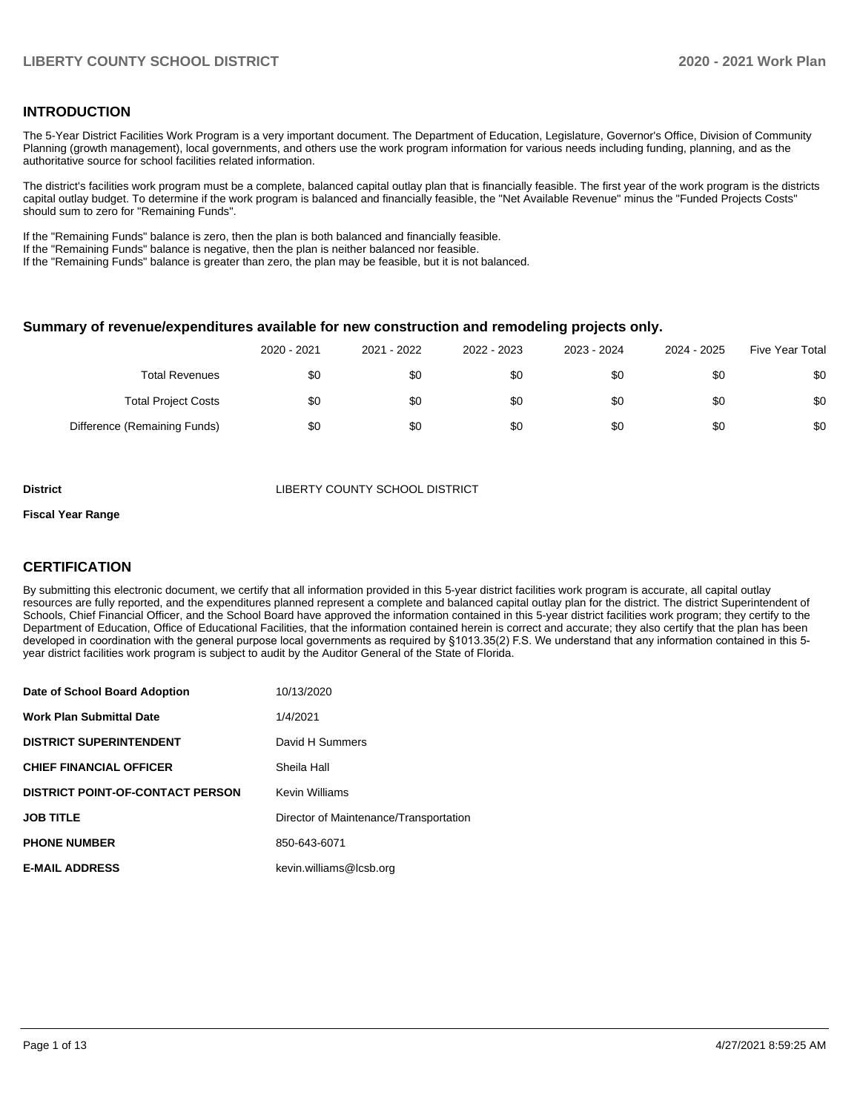## **INTRODUCTION**

The 5-Year District Facilities Work Program is a very important document. The Department of Education, Legislature, Governor's Office, Division of Community Planning (growth management), local governments, and others use the work program information for various needs including funding, planning, and as the authoritative source for school facilities related information.

The district's facilities work program must be a complete, balanced capital outlay plan that is financially feasible. The first year of the work program is the districts capital outlay budget. To determine if the work program is balanced and financially feasible, the "Net Available Revenue" minus the "Funded Projects Costs" should sum to zero for "Remaining Funds".

If the "Remaining Funds" balance is zero, then the plan is both balanced and financially feasible.

If the "Remaining Funds" balance is negative, then the plan is neither balanced nor feasible.

If the "Remaining Funds" balance is greater than zero, the plan may be feasible, but it is not balanced.

#### **Summary of revenue/expenditures available for new construction and remodeling projects only.**

| <b>Five Year Total</b> | 2024 - 2025 | 2023 - 2024 | 2022 - 2023 | 2021 - 2022 | 2020 - 2021 |                              |
|------------------------|-------------|-------------|-------------|-------------|-------------|------------------------------|
| \$0                    | \$0         | \$0         | \$0         | \$0         | \$0         | <b>Total Revenues</b>        |
| \$0                    | \$0         | \$0         | \$0         | \$0         | \$0         | <b>Total Project Costs</b>   |
| \$0                    | \$0         | \$0         | \$0         | \$0         | \$0         | Difference (Remaining Funds) |

**District COUNTY SCHOOL DISTRICT** 

#### **Fiscal Year Range**

## **CERTIFICATION**

By submitting this electronic document, we certify that all information provided in this 5-year district facilities work program is accurate, all capital outlay resources are fully reported, and the expenditures planned represent a complete and balanced capital outlay plan for the district. The district Superintendent of Schools, Chief Financial Officer, and the School Board have approved the information contained in this 5-year district facilities work program; they certify to the Department of Education, Office of Educational Facilities, that the information contained herein is correct and accurate; they also certify that the plan has been developed in coordination with the general purpose local governments as required by §1013.35(2) F.S. We understand that any information contained in this 5 year district facilities work program is subject to audit by the Auditor General of the State of Florida.

| Date of School Board Adoption           | 10/13/2020                             |
|-----------------------------------------|----------------------------------------|
| <b>Work Plan Submittal Date</b>         | 1/4/2021                               |
| <b>DISTRICT SUPERINTENDENT</b>          | David H Summers                        |
| <b>CHIEF FINANCIAL OFFICER</b>          | Sheila Hall                            |
| <b>DISTRICT POINT-OF-CONTACT PERSON</b> | <b>Kevin Williams</b>                  |
| <b>JOB TITLE</b>                        | Director of Maintenance/Transportation |
| <b>PHONE NUMBER</b>                     | 850-643-6071                           |
| <b>E-MAIL ADDRESS</b>                   | kevin.williams@lcsb.org                |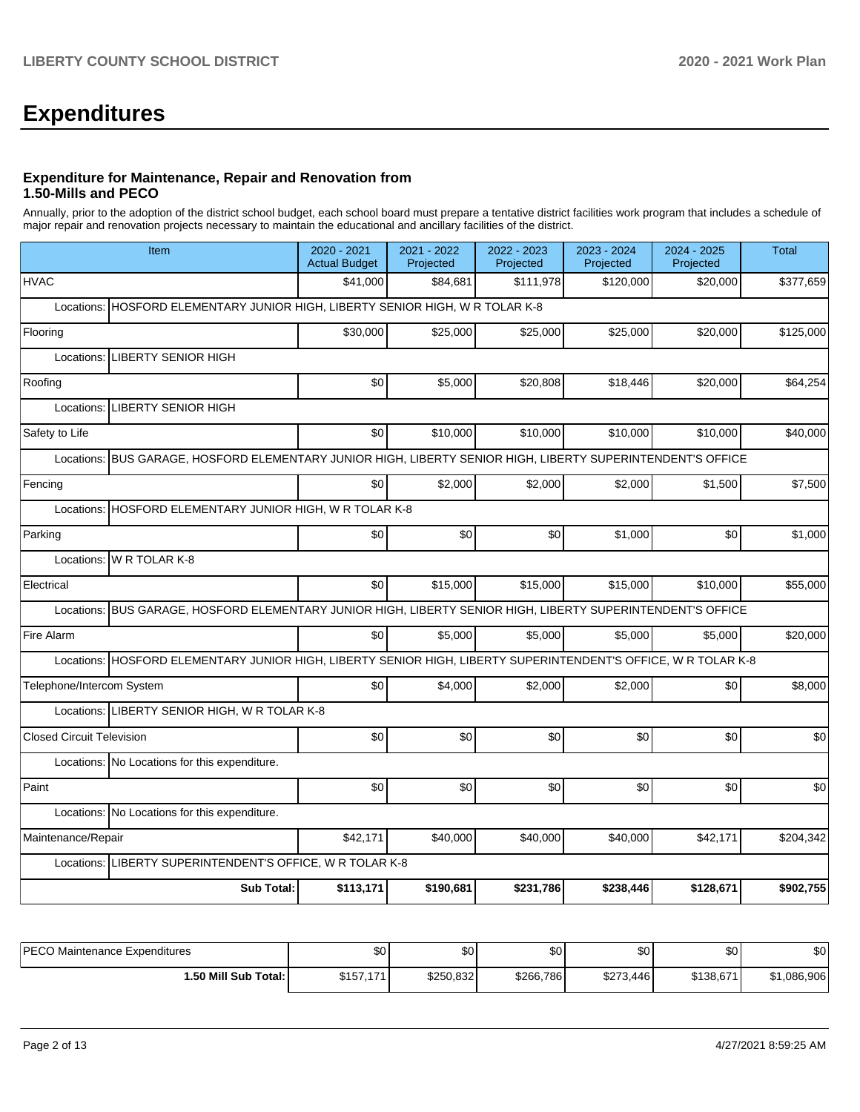# **Expenditures**

### **Expenditure for Maintenance, Repair and Renovation from 1.50-Mills and PECO**

Annually, prior to the adoption of the district school budget, each school board must prepare a tentative district facilities work program that includes a schedule of major repair and renovation projects necessary to maintain the educational and ancillary facilities of the district.

| Item                                                                                                           | 2020 - 2021<br><b>Actual Budget</b>                                | 2021 - 2022<br>Projected | 2022 - 2023<br>Projected | 2023 - 2024<br>Projected | 2024 - 2025<br>Projected | <b>Total</b> |  |  |  |  |  |
|----------------------------------------------------------------------------------------------------------------|--------------------------------------------------------------------|--------------------------|--------------------------|--------------------------|--------------------------|--------------|--|--|--|--|--|
| <b>HVAC</b>                                                                                                    | \$41.000                                                           | \$84,681                 | \$111.978                | \$120,000                | \$20,000                 | \$377,659    |  |  |  |  |  |
| Locations:                                                                                                     | HOSFORD ELEMENTARY JUNIOR HIGH, LIBERTY SENIOR HIGH, W R TOLAR K-8 |                          |                          |                          |                          |              |  |  |  |  |  |
| Flooring                                                                                                       | \$30,000                                                           | \$25,000                 | \$25,000                 | \$25,000                 | \$20,000                 | \$125,000    |  |  |  |  |  |
| <b>LIBERTY SENIOR HIGH</b><br>Locations:                                                                       |                                                                    |                          |                          |                          |                          |              |  |  |  |  |  |
| Roofing                                                                                                        | \$0                                                                | \$5,000                  | \$20,808                 | \$18,446                 | \$20,000                 | \$64,254     |  |  |  |  |  |
| <b>LIBERTY SENIOR HIGH</b><br>Locations:                                                                       |                                                                    |                          |                          |                          |                          |              |  |  |  |  |  |
| Safety to Life                                                                                                 | \$0                                                                | \$10,000                 | \$10,000                 | \$10,000                 | \$10,000                 | \$40,000     |  |  |  |  |  |
| BUS GARAGE, HOSFORD ELEMENTARY JUNIOR HIGH, LIBERTY SENIOR HIGH, LIBERTY SUPERINTENDENT'S OFFICE<br>Locations: |                                                                    |                          |                          |                          |                          |              |  |  |  |  |  |
| Fencing                                                                                                        | \$0                                                                | \$2,000                  | \$2,000                  | \$2,000                  | \$1,500                  | \$7,500      |  |  |  |  |  |
| HOSFORD ELEMENTARY JUNIOR HIGH, W R TOLAR K-8<br>Locations:                                                    |                                                                    |                          |                          |                          |                          |              |  |  |  |  |  |
| Parking                                                                                                        | \$0                                                                | \$0                      | \$0                      | \$1,000                  | \$0                      | \$1,000      |  |  |  |  |  |
| W R TOLAR K-8<br>Locations:                                                                                    |                                                                    |                          |                          |                          |                          |              |  |  |  |  |  |
| Electrical                                                                                                     | \$0                                                                | \$15,000                 | \$15,000                 | \$15,000                 | \$10,000                 | \$55,000     |  |  |  |  |  |
| Locations: BUS GARAGE, HOSFORD ELEMENTARY JUNIOR HIGH, LIBERTY SENIOR HIGH, LIBERTY SUPERINTENDENT'S OFFICE    |                                                                    |                          |                          |                          |                          |              |  |  |  |  |  |
| Fire Alarm                                                                                                     | \$0                                                                | \$5,000                  | \$5,000                  | \$5,000                  | \$5,000                  | \$20,000     |  |  |  |  |  |
| Locations: HOSFORD ELEMENTARY JUNIOR HIGH, LIBERTY SENIOR HIGH, LIBERTY SUPERINTENDENT'S OFFICE, W R TOLAR K-8 |                                                                    |                          |                          |                          |                          |              |  |  |  |  |  |
| Telephone/Intercom System                                                                                      | \$0                                                                | \$4,000                  | \$2,000                  | \$2,000                  | \$0                      | \$8,000      |  |  |  |  |  |
| Locations: LIBERTY SENIOR HIGH, W R TOLAR K-8                                                                  |                                                                    |                          |                          |                          |                          |              |  |  |  |  |  |
| <b>Closed Circuit Television</b>                                                                               | \$0                                                                | \$0                      | \$0                      | \$0                      | \$0                      | \$0          |  |  |  |  |  |
| Locations: No Locations for this expenditure.                                                                  |                                                                    |                          |                          |                          |                          |              |  |  |  |  |  |
| Paint                                                                                                          | \$0                                                                | \$0                      | \$0                      | \$0                      | \$0                      | \$0          |  |  |  |  |  |
| Locations: No Locations for this expenditure.                                                                  |                                                                    |                          |                          |                          |                          |              |  |  |  |  |  |
| Maintenance/Repair                                                                                             | \$42.171                                                           | \$40,000                 | \$40,000                 | \$40,000                 | \$42,171                 | \$204,342    |  |  |  |  |  |
| Locations: LIBERTY SUPERINTENDENT'S OFFICE, W R TOLAR K-8                                                      |                                                                    |                          |                          |                          |                          |              |  |  |  |  |  |
| <b>Sub Total:</b>                                                                                              | \$113,171                                                          | \$190,681                | \$231,786                | \$238,446                | \$128,671                | \$902,755    |  |  |  |  |  |

| IPFCO<br>Maintenance Expenditures<br>└─ | \$0                      | ሱሶ<br>ມບ  | \$0       | ሶሳ<br>υŒ  | ሶስ<br>υG  | \$0                       |
|-----------------------------------------|--------------------------|-----------|-----------|-----------|-----------|---------------------------|
| 1.50 Mill Sub Total:                    | C1E<br>$4 - 4$<br>،،،،،، | \$250,832 | \$266,786 | \$273,446 | \$138.671 | ,086,906<br>$\sim$<br>JD. |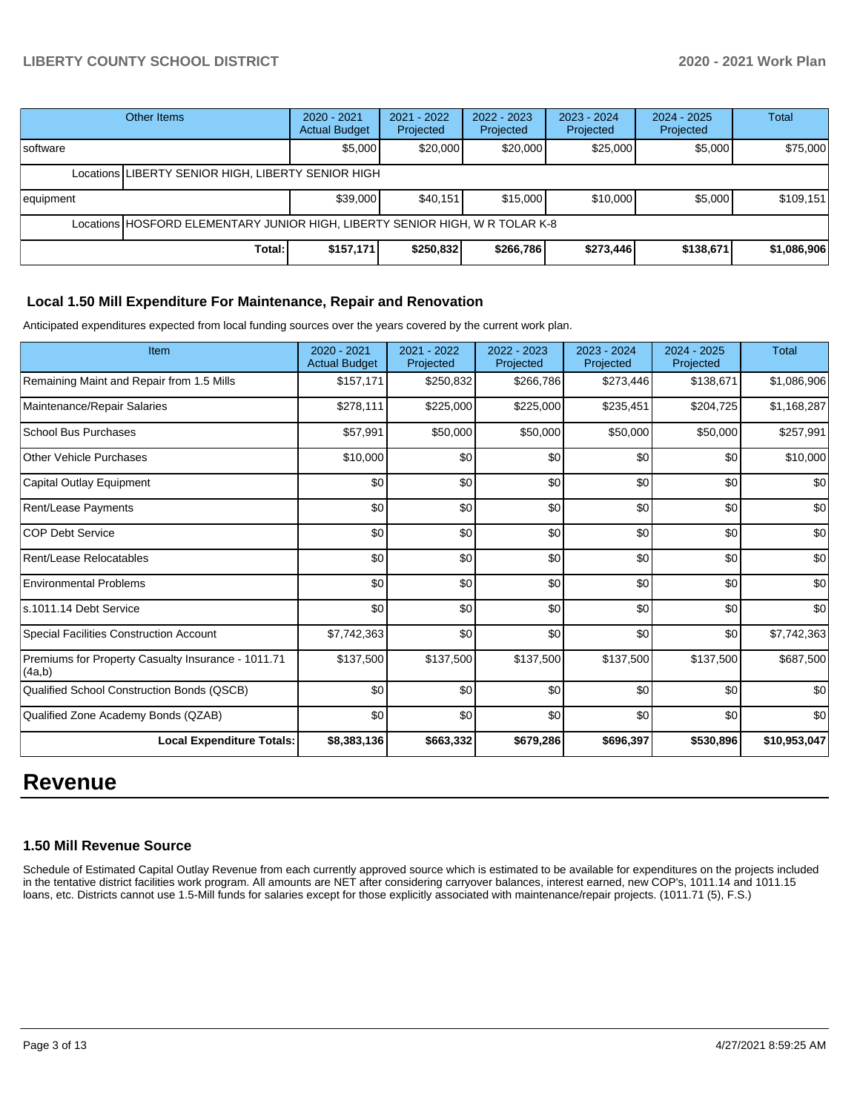|                                                    | Other Items | $2020 - 2021$<br><b>Actual Budget</b> | 2021 - 2022<br>Projected | 2022 - 2023<br>Projected | $2023 - 2024$<br>Projected | $2024 - 2025$<br>Projected | <b>Total</b> |
|----------------------------------------------------|-------------|---------------------------------------|--------------------------|--------------------------|----------------------------|----------------------------|--------------|
| Isoftware                                          |             | \$5,000                               | \$20,000                 | \$20,000                 | \$25,000                   | \$5,000                    | \$75,000     |
| Locations LIBERTY SENIOR HIGH, LIBERTY SENIOR HIGH |             |                                       |                          |                          |                            |                            |              |
| equipment                                          |             | \$39,000                              | \$40,151                 | \$15,000                 | \$10,000                   | \$5,000                    | \$109,151    |
|                                                    |             |                                       |                          |                          |                            |                            |              |
|                                                    | Total:      | \$157,171                             | \$250,832                | \$266,786                | \$273,446                  | \$138,671                  | \$1,086,906  |

## **Local 1.50 Mill Expenditure For Maintenance, Repair and Renovation**

Anticipated expenditures expected from local funding sources over the years covered by the current work plan.

| Item                                                         | 2020 - 2021<br><b>Actual Budget</b> | 2021 - 2022<br>Projected | 2022 - 2023<br>Projected | $2023 - 2024$<br>Projected | 2024 - 2025<br>Projected | <b>Total</b> |
|--------------------------------------------------------------|-------------------------------------|--------------------------|--------------------------|----------------------------|--------------------------|--------------|
| Remaining Maint and Repair from 1.5 Mills                    | \$157,171                           | \$250,832                | \$266,786                | \$273,446                  | \$138,671                | \$1,086,906  |
| Maintenance/Repair Salaries                                  | \$278,111                           | \$225,000                | \$225,000                | \$235,451                  | \$204,725                | \$1,168,287  |
| <b>School Bus Purchases</b>                                  | \$57,991                            | \$50,000                 | \$50,000                 | \$50,000                   | \$50,000                 | \$257,991    |
| <b>Other Vehicle Purchases</b>                               | \$10,000                            | \$0                      | \$0                      | \$0                        | \$0                      | \$10,000     |
| Capital Outlay Equipment                                     | \$0                                 | \$0                      | \$0                      | \$0                        | \$0                      | \$0          |
| Rent/Lease Payments                                          | \$0                                 | \$0                      | \$0                      | \$0                        | \$0                      | \$0          |
| <b>COP Debt Service</b>                                      | \$0                                 | \$0                      | \$0                      | \$0                        | \$0                      | \$0          |
| Rent/Lease Relocatables                                      | \$0                                 | \$0                      | \$0                      | \$0                        | \$0                      | \$0          |
| <b>Environmental Problems</b>                                | \$0                                 | \$0                      | \$0                      | \$0                        | \$0                      | \$0          |
| ls.1011.14 Debt Service                                      | \$0                                 | \$0                      | \$0                      | \$0                        | \$0                      | \$0          |
| <b>Special Facilities Construction Account</b>               | \$7,742,363                         | \$0                      | \$0                      | \$0                        | \$0                      | \$7,742,363  |
| Premiums for Property Casualty Insurance - 1011.71<br>(4a,b) | \$137,500                           | \$137,500                | \$137,500                | \$137,500                  | \$137,500                | \$687,500    |
| <b>Qualified School Construction Bonds (QSCB)</b>            | \$0                                 | \$0                      | \$0                      | \$0                        | \$0                      | \$0          |
| Qualified Zone Academy Bonds (QZAB)                          | \$0                                 | \$0                      | \$0                      | \$0                        | \$0                      | \$0          |
| <b>Local Expenditure Totals:</b>                             | \$8,383,136                         | \$663,332                | \$679,286                | \$696,397                  | \$530,896                | \$10,953,047 |

# **Revenue**

### **1.50 Mill Revenue Source**

Schedule of Estimated Capital Outlay Revenue from each currently approved source which is estimated to be available for expenditures on the projects included in the tentative district facilities work program. All amounts are NET after considering carryover balances, interest earned, new COP's, 1011.14 and 1011.15 loans, etc. Districts cannot use 1.5-Mill funds for salaries except for those explicitly associated with maintenance/repair projects. (1011.71 (5), F.S.)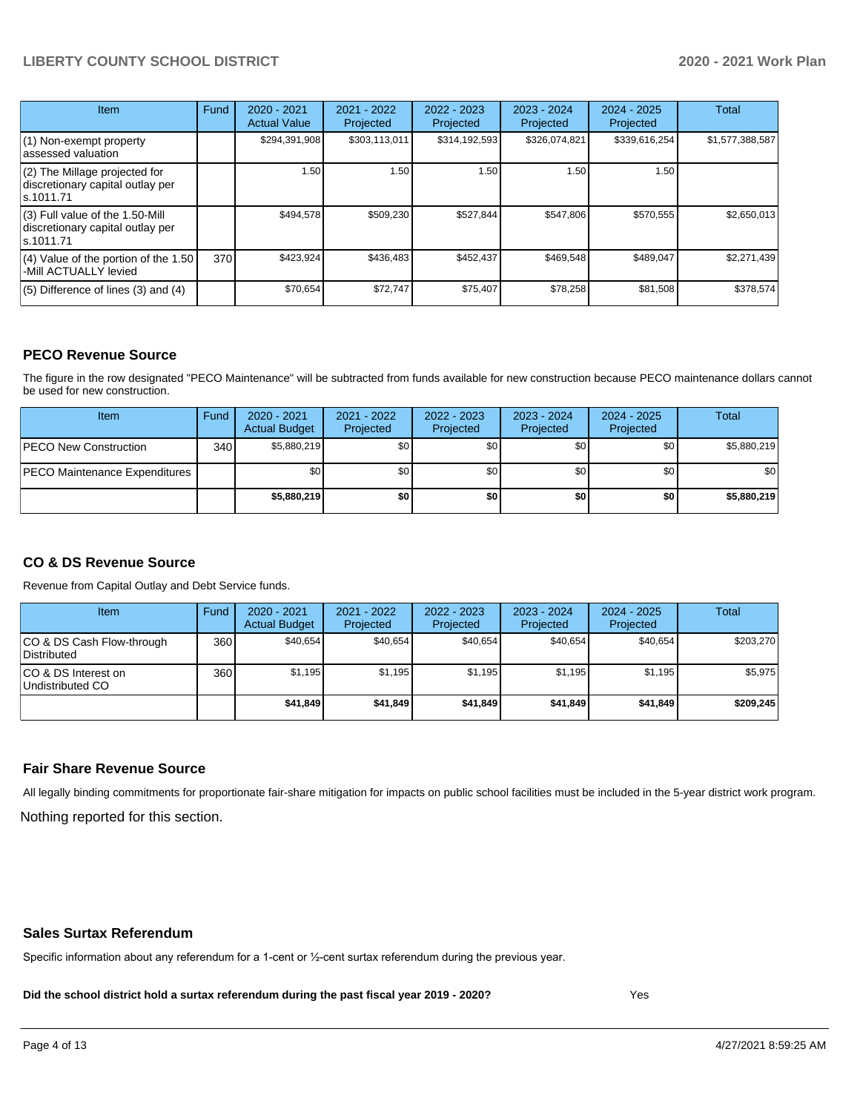| Item                                                                                | Fund | $2020 - 2021$<br><b>Actual Value</b> | 2021 - 2022<br>Projected | 2022 - 2023<br>Projected | 2023 - 2024<br>Projected | $2024 - 2025$<br>Projected | Total           |
|-------------------------------------------------------------------------------------|------|--------------------------------------|--------------------------|--------------------------|--------------------------|----------------------------|-----------------|
| $(1)$ Non-exempt property<br>lassessed valuation                                    |      | \$294,391,908                        | \$303.113.011            | \$314,192,593            | \$326,074,821            | \$339,616,254              | \$1,577,388,587 |
| $(2)$ The Millage projected for<br>discretionary capital outlay per<br>ls.1011.71   |      | 1.50                                 | 1.50                     | 1.50                     | 1.50                     | 1.50                       |                 |
| $(3)$ Full value of the 1.50-Mill<br>discretionary capital outlay per<br>ls.1011.71 |      | \$494,578                            | \$509,230                | \$527,844                | \$547,806                | \$570,555                  | \$2,650,013     |
| $(4)$ Value of the portion of the 1.50<br>-Mill ACTUALLY levied                     | 370  | \$423,924                            | \$436,483                | \$452,437                | \$469,548                | \$489,047                  | \$2,271,439     |
| $(5)$ Difference of lines $(3)$ and $(4)$                                           |      | \$70,654                             | \$72,747                 | \$75,407                 | \$78,258                 | \$81,508                   | \$378,574       |

### **PECO Revenue Source**

The figure in the row designated "PECO Maintenance" will be subtracted from funds available for new construction because PECO maintenance dollars cannot be used for new construction.

| Item                                 | Fund             | 2020 - 2021<br><b>Actual Budget</b> | 2021 - 2022<br>Projected | 2022 - 2023<br>Projected | 2023 - 2024<br>Projected | 2024 - 2025<br>Projected | Total       |
|--------------------------------------|------------------|-------------------------------------|--------------------------|--------------------------|--------------------------|--------------------------|-------------|
| <b>PECO New Construction</b>         | 340 <sup>1</sup> | \$5,880,219                         | \$0                      | \$0                      | \$0                      | \$0                      | \$5,880,219 |
| <b>PECO Maintenance Expenditures</b> |                  | \$0                                 | \$0 <sub>1</sub>         | \$0                      | \$0                      | \$0                      | <b>\$0</b>  |
|                                      |                  | \$5,880,219                         | \$0                      | \$0                      | \$0                      | \$0                      | \$5,880,219 |

## **CO & DS Revenue Source**

Revenue from Capital Outlay and Debt Service funds.

| Item                                      | Fund  | $2020 - 2021$<br><b>Actual Budget</b> | 2021 - 2022<br>Projected | 2022 - 2023<br>Projected | $2023 - 2024$<br>Projected | $2024 - 2025$<br>Projected | <b>Total</b> |
|-------------------------------------------|-------|---------------------------------------|--------------------------|--------------------------|----------------------------|----------------------------|--------------|
| ICO & DS Cash Flow-through<br>Distributed | 360 l | \$40.654                              | \$40.654                 | \$40.654                 | \$40.654                   | \$40.654                   | \$203.270    |
| ICO & DS Interest on<br>Undistributed CO  | 360   | \$1.195                               | \$1.195                  | \$1.195                  | \$1.195                    | \$1.195                    | \$5,975      |
|                                           |       | \$41,849                              | \$41.849                 | \$41.849                 | \$41,849                   | \$41,849                   | \$209.245    |

### **Fair Share Revenue Source**

Nothing reported for this section. All legally binding commitments for proportionate fair-share mitigation for impacts on public school facilities must be included in the 5-year district work program.

#### **Sales Surtax Referendum**

Specific information about any referendum for a 1-cent or ½-cent surtax referendum during the previous year.

**Did the school district hold a surtax referendum during the past fiscal year 2019 - 2020?**

Yes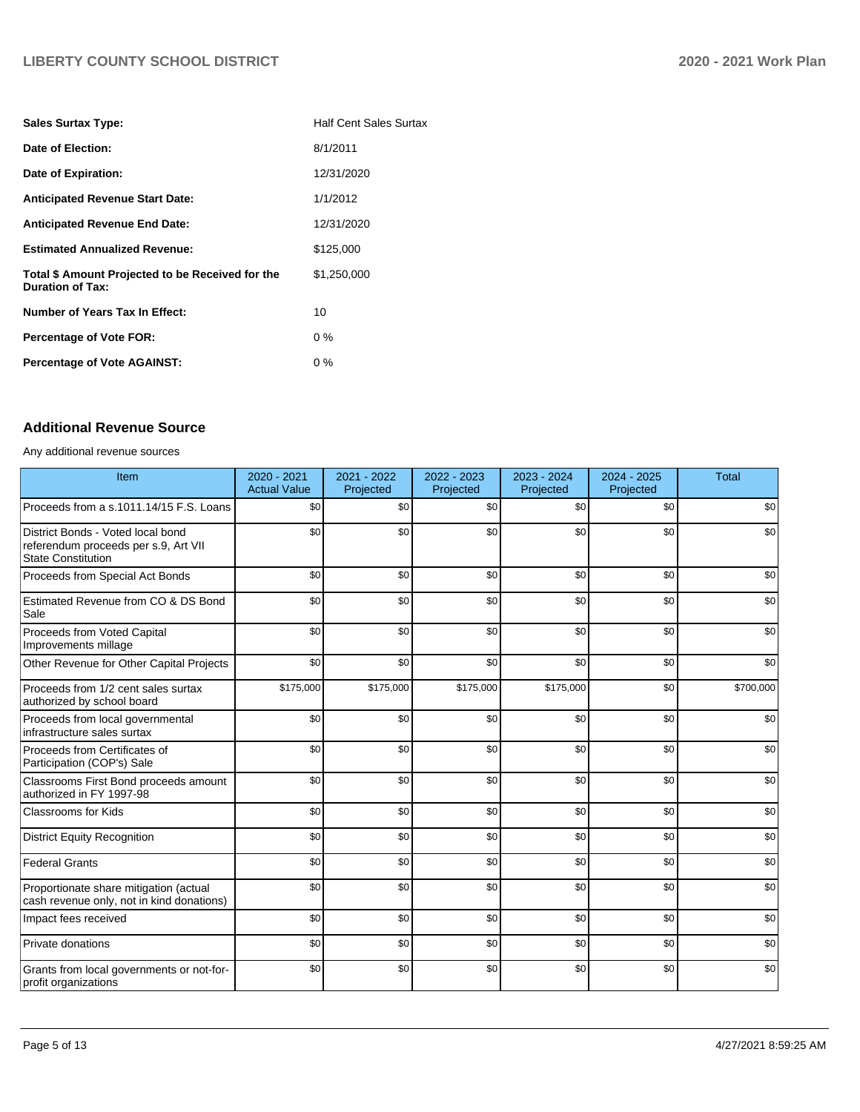| <b>Sales Surtax Type:</b>                                                   | <b>Half Cent Sales Surtax</b> |
|-----------------------------------------------------------------------------|-------------------------------|
| Date of Election:                                                           | 8/1/2011                      |
| Date of Expiration:                                                         | 12/31/2020                    |
| <b>Anticipated Revenue Start Date:</b>                                      | 1/1/2012                      |
| <b>Anticipated Revenue End Date:</b>                                        | 12/31/2020                    |
| <b>Estimated Annualized Revenue:</b>                                        | \$125.000                     |
| Total \$ Amount Projected to be Received for the<br><b>Duration of Tax:</b> | \$1,250,000                   |
| Number of Years Tax In Effect:                                              | 10                            |
| <b>Percentage of Vote FOR:</b>                                              | $0\%$                         |
| <b>Percentage of Vote AGAINST:</b>                                          | $0\%$                         |

# **Additional Revenue Source**

Any additional revenue sources

| Item                                                                                                   | $2020 - 2021$<br><b>Actual Value</b> | 2021 - 2022<br>Projected | 2022 - 2023<br>Projected | 2023 - 2024<br>Projected | 2024 - 2025<br>Projected | <b>Total</b> |
|--------------------------------------------------------------------------------------------------------|--------------------------------------|--------------------------|--------------------------|--------------------------|--------------------------|--------------|
| Proceeds from a s.1011.14/15 F.S. Loans                                                                | \$0                                  | \$0                      | \$0                      | \$0                      | \$0                      | \$0          |
| District Bonds - Voted local bond<br>referendum proceeds per s.9, Art VII<br><b>State Constitution</b> | \$0                                  | \$0                      | \$0                      | \$0                      | \$0                      | \$0          |
| Proceeds from Special Act Bonds                                                                        | \$0                                  | \$0                      | \$0                      | \$0                      | \$0                      | \$0          |
| Estimated Revenue from CO & DS Bond<br>Sale                                                            | \$0                                  | \$0                      | \$0                      | \$0                      | \$0                      | \$0          |
| Proceeds from Voted Capital<br>Improvements millage                                                    | \$0                                  | \$0                      | \$0                      | \$0                      | \$0                      | \$0          |
| Other Revenue for Other Capital Projects                                                               | \$0                                  | \$0                      | \$0                      | \$0                      | \$0                      | \$0          |
| Proceeds from 1/2 cent sales surtax<br>authorized by school board                                      | \$175,000                            | \$175,000                | \$175,000                | \$175,000                | \$0                      | \$700,000    |
| Proceeds from local governmental<br>infrastructure sales surtax                                        | \$0                                  | \$0                      | \$0                      | \$0                      | \$0                      | \$0          |
| Proceeds from Certificates of<br>Participation (COP's) Sale                                            | \$0                                  | \$0                      | \$0                      | \$0                      | \$0                      | \$0          |
| Classrooms First Bond proceeds amount<br>authorized in FY 1997-98                                      | \$0                                  | \$0                      | \$0                      | \$0                      | \$0                      | \$0          |
| <b>Classrooms for Kids</b>                                                                             | \$0                                  | \$0                      | \$0                      | \$0                      | \$0                      | \$0          |
| <b>District Equity Recognition</b>                                                                     | \$0                                  | \$0                      | \$0                      | \$0                      | \$0                      | \$0          |
| <b>Federal Grants</b>                                                                                  | \$0                                  | \$0                      | \$0                      | \$0                      | \$0                      | \$0          |
| Proportionate share mitigation (actual<br>cash revenue only, not in kind donations)                    | \$0                                  | \$0                      | \$0                      | \$0                      | \$0                      | \$0          |
| Impact fees received                                                                                   | \$0                                  | \$0                      | \$0                      | \$0                      | \$0                      | \$0          |
| Private donations                                                                                      | \$0                                  | \$0                      | \$0                      | \$0                      | \$0                      | \$0          |
| Grants from local governments or not-for-<br>profit organizations                                      | \$0                                  | \$0                      | \$0                      | \$0                      | \$0                      | \$0          |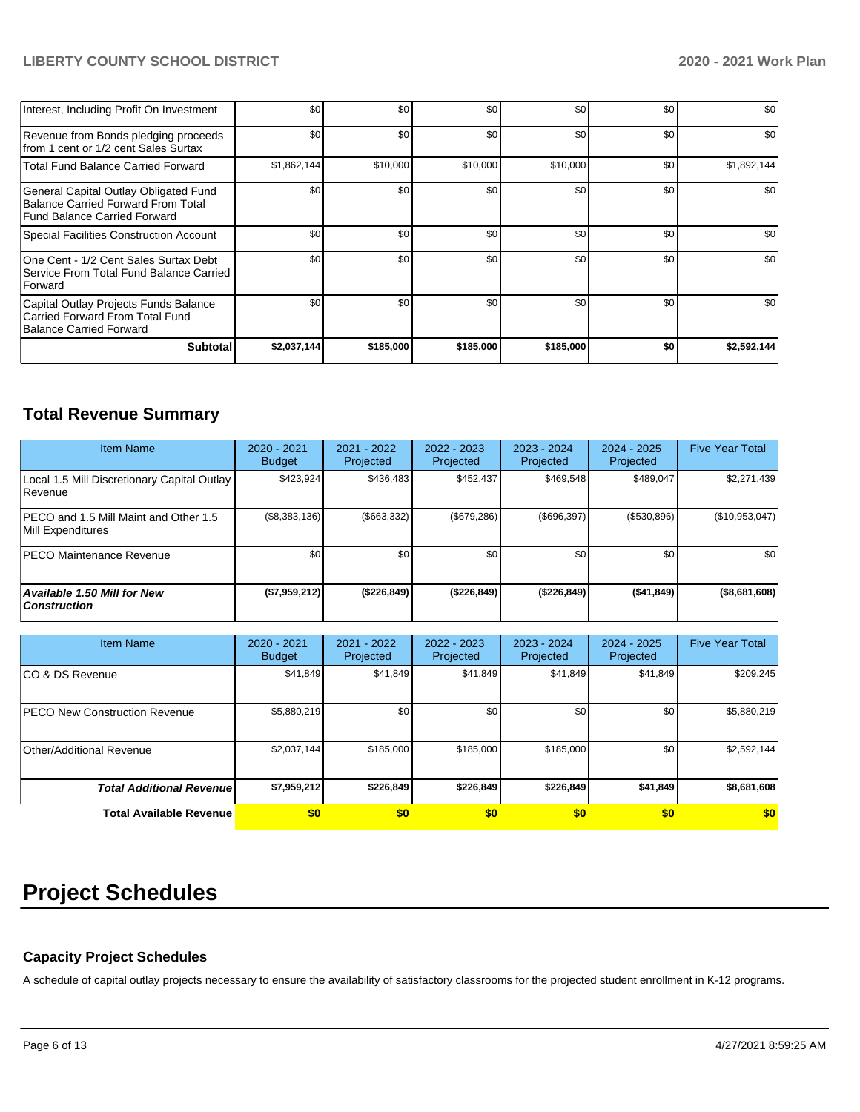| Interest, Including Profit On Investment                                                                           | \$0              | \$0       | \$0       | \$0       | \$0 | \$0         |
|--------------------------------------------------------------------------------------------------------------------|------------------|-----------|-----------|-----------|-----|-------------|
| Revenue from Bonds pledging proceeds<br>from 1 cent or 1/2 cent Sales Surtax                                       | \$0              | \$0       | \$0       | \$0       | \$0 | \$0         |
| <b>Total Fund Balance Carried Forward</b>                                                                          | \$1,862,144      | \$10,000  | \$10,000  | \$10,000  | \$0 | \$1,892,144 |
| General Capital Outlay Obligated Fund<br>Balance Carried Forward From Total<br><b>Fund Balance Carried Forward</b> | \$0 <sub>1</sub> | \$0       | \$0       | \$0       | \$0 | \$0         |
| Special Facilities Construction Account                                                                            | \$0              | \$0       | \$0       | \$0       | \$0 | \$0         |
| One Cent - 1/2 Cent Sales Surtax Debt<br>Service From Total Fund Balance Carried<br>Forward                        | \$0              | \$0       | \$0       | \$0       | \$0 | \$0         |
| Capital Outlay Projects Funds Balance<br>Carried Forward From Total Fund<br>Balance Carried Forward                | \$0              | \$0       | \$0       | \$0       | \$0 | \$0         |
| <b>Subtotal</b>                                                                                                    | \$2,037,144      | \$185,000 | \$185,000 | \$185,000 | \$0 | \$2,592,144 |

# **Total Revenue Summary**

| <b>Item Name</b>                                           | $2020 - 2021$<br><b>Budget</b> | $2021 - 2022$<br>Projected | 2022 - 2023<br>Projected | 2023 - 2024<br>Projected | $2024 - 2025$<br>Projected | <b>Five Year Total</b> |
|------------------------------------------------------------|--------------------------------|----------------------------|--------------------------|--------------------------|----------------------------|------------------------|
| Local 1.5 Mill Discretionary Capital Outlay<br>Revenue     | \$423.924                      | \$436.483                  | \$452.437                | \$469.548                | \$489.047                  | \$2,271,439            |
| PECO and 1.5 Mill Maint and Other 1.5<br>Mill Expenditures | (\$8,383,136)                  | ( \$663, 332)              | (S679.286)               | (S696.397)               | (\$530,896)                | (\$10,953,047)         |
| <b>IPECO Maintenance Revenue</b>                           | \$0 <sub>1</sub>               | \$0 <sub>1</sub>           | \$0                      | \$0                      | \$0                        | \$0                    |
| Available 1.50 Mill for New<br><b>Construction</b>         | (\$7,959,212)                  | (\$226,849)                | (\$226,849)              | ( \$226, 849)            | ( \$41, 849)               | (\$8,681,608)          |

| <b>Item Name</b>                      | 2020 - 2021<br><b>Budget</b> | 2021 - 2022<br>Projected | 2022 - 2023<br>Projected | 2023 - 2024<br>Projected | 2024 - 2025<br>Projected | <b>Five Year Total</b> |
|---------------------------------------|------------------------------|--------------------------|--------------------------|--------------------------|--------------------------|------------------------|
| ICO & DS Revenue                      | \$41,849                     | \$41,849                 | \$41,849                 | \$41,849                 | \$41,849                 | \$209,245              |
| <b>IPECO New Construction Revenue</b> | \$5,880,219                  | \$0 <sub>1</sub>         | \$0                      | \$0                      | \$0                      | \$5,880,219            |
| Other/Additional Revenue              | \$2,037,144                  | \$185,000                | \$185,000                | \$185,000                | \$0                      | \$2,592,144            |
| <b>Total Additional Revenuel</b>      | \$7,959,212                  | \$226.849                | \$226,849                | \$226,849                | \$41.849                 | \$8,681,608            |
| <b>Total Available Revenue</b>        | \$0                          | \$0                      | \$0                      | \$0                      | \$0                      | \$0                    |

# **Project Schedules**

## **Capacity Project Schedules**

A schedule of capital outlay projects necessary to ensure the availability of satisfactory classrooms for the projected student enrollment in K-12 programs.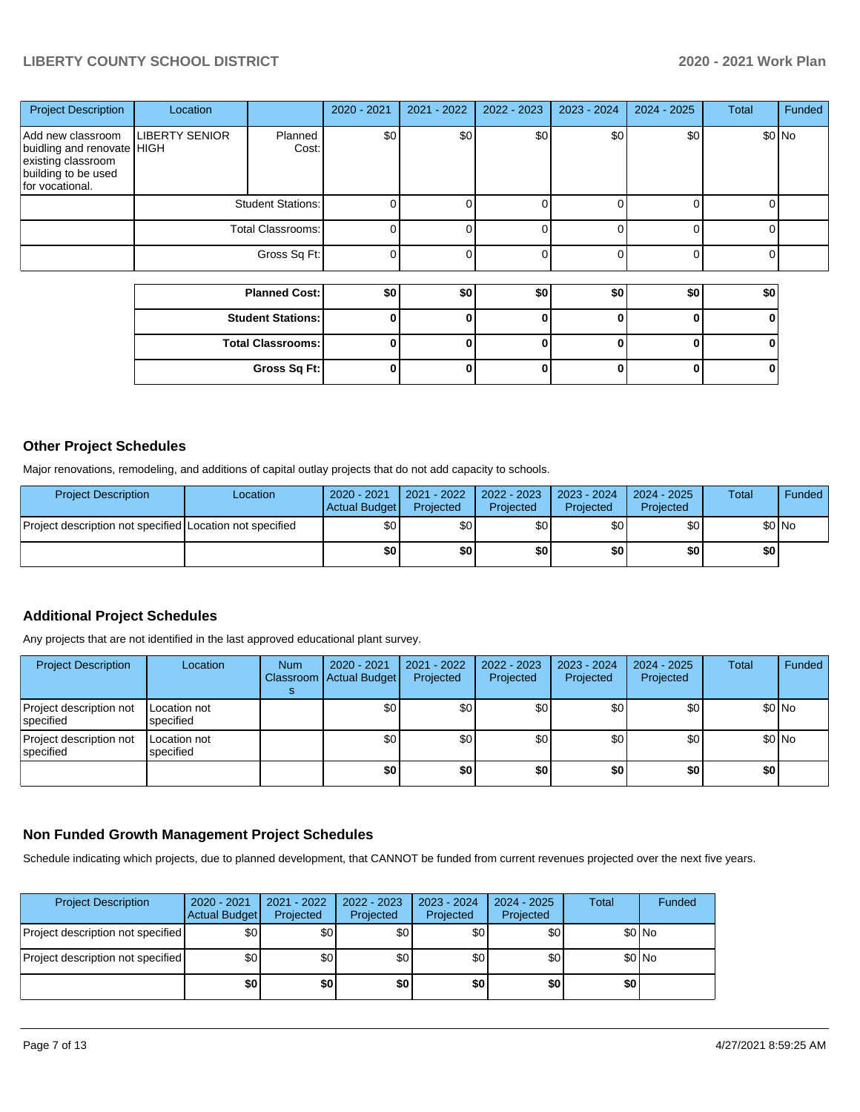| <b>Project Description</b>                                                                                      | Location                 |                          | 2020 - 2021 | 2021 - 2022 | 2022 - 2023 | 2023 - 2024 | $2024 - 2025$ | <b>Total</b> | Funded  |
|-----------------------------------------------------------------------------------------------------------------|--------------------------|--------------------------|-------------|-------------|-------------|-------------|---------------|--------------|---------|
| Add new classroom<br>buidling and renovate HIGH<br>existing classroom<br>building to be used<br>for vocational. | <b>LIBERTY SENIOR</b>    | Planned<br>Cost:         | \$0         | \$0         | \$0         | \$0         | \$0           |              | $$0$ No |
|                                                                                                                 | <b>Student Stations:</b> |                          |             |             |             |             |               |              |         |
|                                                                                                                 | <b>Total Classrooms:</b> |                          |             |             |             |             |               |              |         |
|                                                                                                                 |                          | Gross Sq Ft:             |             |             |             |             | U             |              |         |
|                                                                                                                 |                          |                          |             |             |             |             |               |              |         |
|                                                                                                                 | <b>Planned Cost:</b>     |                          | \$0         | \$0         | \$0         | \$0         | \$0           | \$0          |         |
|                                                                                                                 |                          | <b>Student Stations:</b> | 0           |             | 0           | U           | 0             | 0            |         |
|                                                                                                                 |                          | <b>Total Classrooms:</b> |             |             | 0           |             | 0             |              |         |

**Gross Sq Ft: 0 0 0 0 0 0**

## **Other Project Schedules**

Major renovations, remodeling, and additions of capital outlay projects that do not add capacity to schools.

| <b>Project Description</b>                               | Location | 2020 - 2021<br>Actual Budget | 2021 - 2022<br>Projected | 2022 - 2023<br>Projected | 2023 - 2024<br>Projected | $2024 - 2025$<br>Projected | Total  | <b>Funded</b> |
|----------------------------------------------------------|----------|------------------------------|--------------------------|--------------------------|--------------------------|----------------------------|--------|---------------|
| Project description not specified Location not specified |          | \$0 I                        | \$0 I                    | \$0 I                    | \$٥Ι                     | <b>\$01</b>                | \$0 No |               |
|                                                          |          | \$0                          | \$O I                    | \$0                      | \$O I                    | \$0                        | \$0 I  |               |

## **Additional Project Schedules**

Any projects that are not identified in the last approved educational plant survey.

| <b>Project Description</b>            | Location                  | <b>Num</b> | 2020 - 2021<br>Classroom Actual Budget | 2021 - 2022<br>Projected | 2022 - 2023<br>Projected | $2023 - 2024$<br>Projected | $2024 - 2025$<br>Projected | Total | Funded  |
|---------------------------------------|---------------------------|------------|----------------------------------------|--------------------------|--------------------------|----------------------------|----------------------------|-------|---------|
| Project description not<br>Ispecified | Location not<br>specified |            | \$٥١                                   | \$0                      | \$0                      | \$0                        | \$0                        |       | $$0$ No |
| Project description not<br> specified | Location not<br>specified |            | \$0 <sub>1</sub>                       | <b>\$01</b>              | \$0 <sub>1</sub>         | <b>\$01</b>                | \$0 <sub>1</sub>           |       | $$0$ No |
|                                       |                           |            | \$0                                    | \$0                      | \$0                      | \$0                        | \$0                        | \$0   |         |

### **Non Funded Growth Management Project Schedules**

Schedule indicating which projects, due to planned development, that CANNOT be funded from current revenues projected over the next five years.

| <b>Project Description</b>        | 2020 - 2021<br><b>Actual Budget</b> | 2021 - 2022<br>Projected | 2022 - 2023<br>Projected | 2023 - 2024<br>Projected | $2024 - 2025$<br>Projected | Total | Funded |
|-----------------------------------|-------------------------------------|--------------------------|--------------------------|--------------------------|----------------------------|-------|--------|
| Project description not specified | \$0                                 | \$0                      | \$0                      | \$0                      | \$0                        |       | \$0 No |
| Project description not specified | \$0                                 | \$0                      | \$0                      | \$0                      | \$0                        |       | \$0 No |
|                                   | \$0                                 | \$0                      | \$0                      | \$0                      | \$0                        | \$0   |        |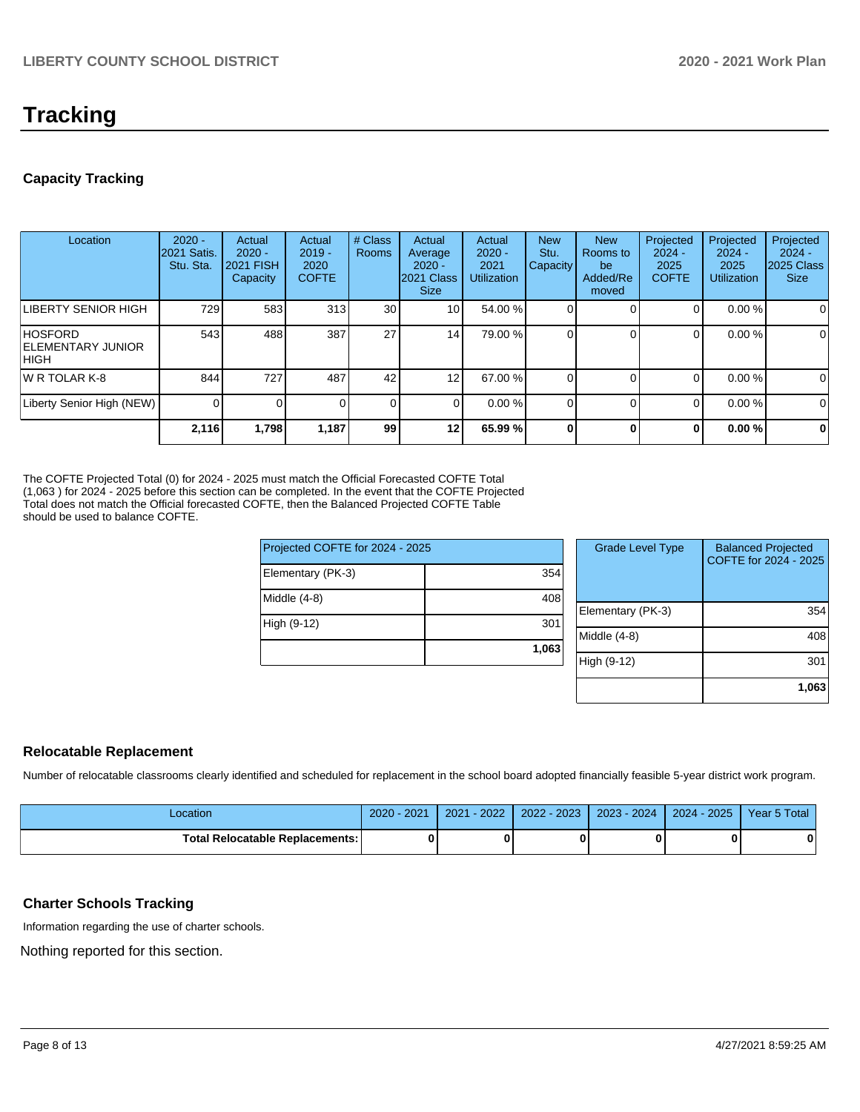# **Tracking**

# **Capacity Tracking**

| Location                                              | $2020 -$<br><b>2021 Satis.</b><br>Stu. Sta. | Actual<br>$2020 -$<br>2021 FISH<br>Capacity | Actual<br>$2019 -$<br>2020<br><b>COFTE</b> | # Class<br><b>Rooms</b> | Actual<br>Average<br>$2020 -$<br>2021 Class<br><b>Size</b> | Actual<br>$2020 -$<br>2021<br><b>Utilization</b> | <b>New</b><br>Stu.<br>Capacity | <b>New</b><br>Rooms to<br>be<br>Added/Re<br>moved | Projected<br>$2024 -$<br>2025<br><b>COFTE</b> | Projected<br>$2024 -$<br>2025<br><b>Utilization</b> | Projected<br>$2024 -$<br>2025 Class<br><b>Size</b> |
|-------------------------------------------------------|---------------------------------------------|---------------------------------------------|--------------------------------------------|-------------------------|------------------------------------------------------------|--------------------------------------------------|--------------------------------|---------------------------------------------------|-----------------------------------------------|-----------------------------------------------------|----------------------------------------------------|
| LIBERTY SENIOR HIGH                                   | 729                                         | 583                                         | 313                                        | 30                      | 10 <sup>1</sup>                                            | 54.00 %                                          |                                |                                                   | 0                                             | 0.00%                                               | 0                                                  |
| <b>HOSFORD</b><br><b>IELEMENTARY JUNIOR</b><br>IHIGH. | 543                                         | 488                                         | 387                                        | 27                      | 14                                                         | 79.00 %                                          |                                |                                                   | 0                                             | 0.00%                                               | 0                                                  |
| IW R TOLAR K-8                                        | 844                                         | 727                                         | 487                                        | 42                      | 12                                                         | 67.00 %                                          |                                |                                                   | 0                                             | 0.00%                                               | 0                                                  |
| Liberty Senior High (NEW)                             |                                             |                                             |                                            | 0                       | $\Omega$                                                   | 0.00%                                            |                                |                                                   | 0                                             | 0.00%                                               | 0                                                  |
|                                                       | 2,116                                       | 1,798                                       | 1,187                                      | 99                      | 12                                                         | 65.99 %                                          |                                | 0                                                 | 0                                             | 0.00%                                               | $\mathbf 0$                                        |

The COFTE Projected Total (0) for 2024 - 2025 must match the Official Forecasted COFTE Total (1,063 ) for 2024 - 2025 before this section can be completed. In the event that the COFTE Projected Total does not match the Official forecasted COFTE, then the Balanced Projected COFTE Table should be used to balance COFTE.

| Projected COFTE for 2024 - 2025 |       |  |  |  |  |
|---------------------------------|-------|--|--|--|--|
| Elementary (PK-3)               | 354   |  |  |  |  |
| Middle (4-8)                    | 408   |  |  |  |  |
| High (9-12)                     | 301   |  |  |  |  |
|                                 | 1,063 |  |  |  |  |

| <b>Grade Level Type</b> | <b>Balanced Projected</b><br>COFTE for 2024 - 2025 |
|-------------------------|----------------------------------------------------|
| Elementary (PK-3)       | 354                                                |
| Middle (4-8)            | 408                                                |
| High (9-12)             | 301                                                |
|                         | 1,063                                              |

## **Relocatable Replacement**

Number of relocatable classrooms clearly identified and scheduled for replacement in the school board adopted financially feasible 5-year district work program.

| .ocation                               | $-2021$<br>$2020 -$ | $-2022'$<br>2021 | $2022 - 2023$ | 2023 - 2024 | $2024 - 2025$ | Year 5 Total |
|----------------------------------------|---------------------|------------------|---------------|-------------|---------------|--------------|
| <b>Total Relocatable Replacements:</b> |                     |                  |               |             |               |              |

## **Charter Schools Tracking**

Information regarding the use of charter schools.

Nothing reported for this section.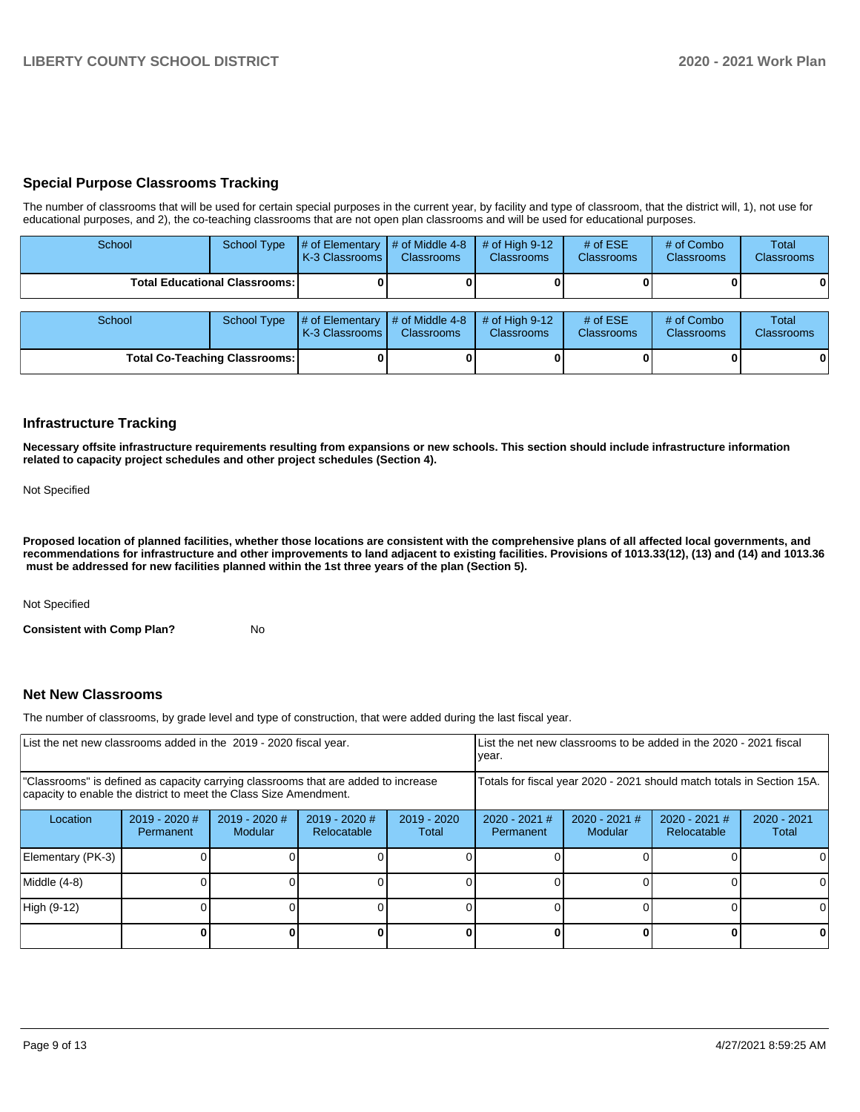## **Special Purpose Classrooms Tracking**

The number of classrooms that will be used for certain special purposes in the current year, by facility and type of classroom, that the district will, 1), not use for educational purposes, and 2), the co-teaching classrooms that are not open plan classrooms and will be used for educational purposes.

| School                               | <b>School Type</b> | # of Elementary<br>K-3 Classrooms | # of Middle 4-8<br><b>Classrooms</b> | # of High $9-12$<br><b>Classrooms</b> | # of $ESE$<br><b>Classrooms</b> | # of Combo<br><b>Classrooms</b> | Total<br><b>Classrooms</b> |
|--------------------------------------|--------------------|-----------------------------------|--------------------------------------|---------------------------------------|---------------------------------|---------------------------------|----------------------------|
| <b>Total Educational Classrooms:</b> |                    |                                   |                                      |                                       |                                 |                                 | 0                          |
| School                               | <b>School Type</b> | # of Elementary<br>K-3 Classrooms | # of Middle 4-8<br>Classrooms        | # of High $9-12$<br><b>Classrooms</b> | # of $ESE$<br>Classrooms        | # of Combo<br><b>Classrooms</b> | Total<br><b>Classrooms</b> |
| <b>Total Co-Teaching Classrooms:</b> |                    |                                   |                                      |                                       |                                 |                                 | $\mathbf{0}$               |

## **Infrastructure Tracking**

**Necessary offsite infrastructure requirements resulting from expansions or new schools. This section should include infrastructure information related to capacity project schedules and other project schedules (Section 4).** 

#### Not Specified

**Proposed location of planned facilities, whether those locations are consistent with the comprehensive plans of all affected local governments, and recommendations for infrastructure and other improvements to land adjacent to existing facilities. Provisions of 1013.33(12), (13) and (14) and 1013.36 must be addressed for new facilities planned within the 1st three years of the plan (Section 5).** 

Not Specified

**Consistent with Comp Plan?** No

## **Net New Classrooms**

The number of classrooms, by grade level and type of construction, that were added during the last fiscal year.

| List the net new classrooms added in the 2019 - 2020 fiscal year.                                                                                       |                                                                        |                            |                                |                        | List the net new classrooms to be added in the 2020 - 2021 fiscal<br>year. |                                |                        |   |  |
|---------------------------------------------------------------------------------------------------------------------------------------------------------|------------------------------------------------------------------------|----------------------------|--------------------------------|------------------------|----------------------------------------------------------------------------|--------------------------------|------------------------|---|--|
| "Classrooms" is defined as capacity carrying classrooms that are added to increase<br>capacity to enable the district to meet the Class Size Amendment. | Totals for fiscal year 2020 - 2021 should match totals in Section 15A. |                            |                                |                        |                                                                            |                                |                        |   |  |
| Location                                                                                                                                                | $2019 - 2020$ #<br>Permanent                                           | $2019 - 2020$ #<br>Modular | $2019 - 2020$ #<br>Relocatable | $2019 - 2020$<br>Total | $2020 - 2021$ #<br>Permanent                                               | $2020 - 2021$ #<br>Relocatable | $2020 - 2021$<br>Total |   |  |
| Elementary (PK-3)                                                                                                                                       |                                                                        |                            |                                |                        |                                                                            |                                |                        |   |  |
| Middle (4-8)                                                                                                                                            |                                                                        |                            |                                |                        |                                                                            |                                |                        |   |  |
| High (9-12)                                                                                                                                             |                                                                        |                            |                                |                        |                                                                            |                                |                        |   |  |
|                                                                                                                                                         |                                                                        |                            |                                |                        |                                                                            |                                |                        | 0 |  |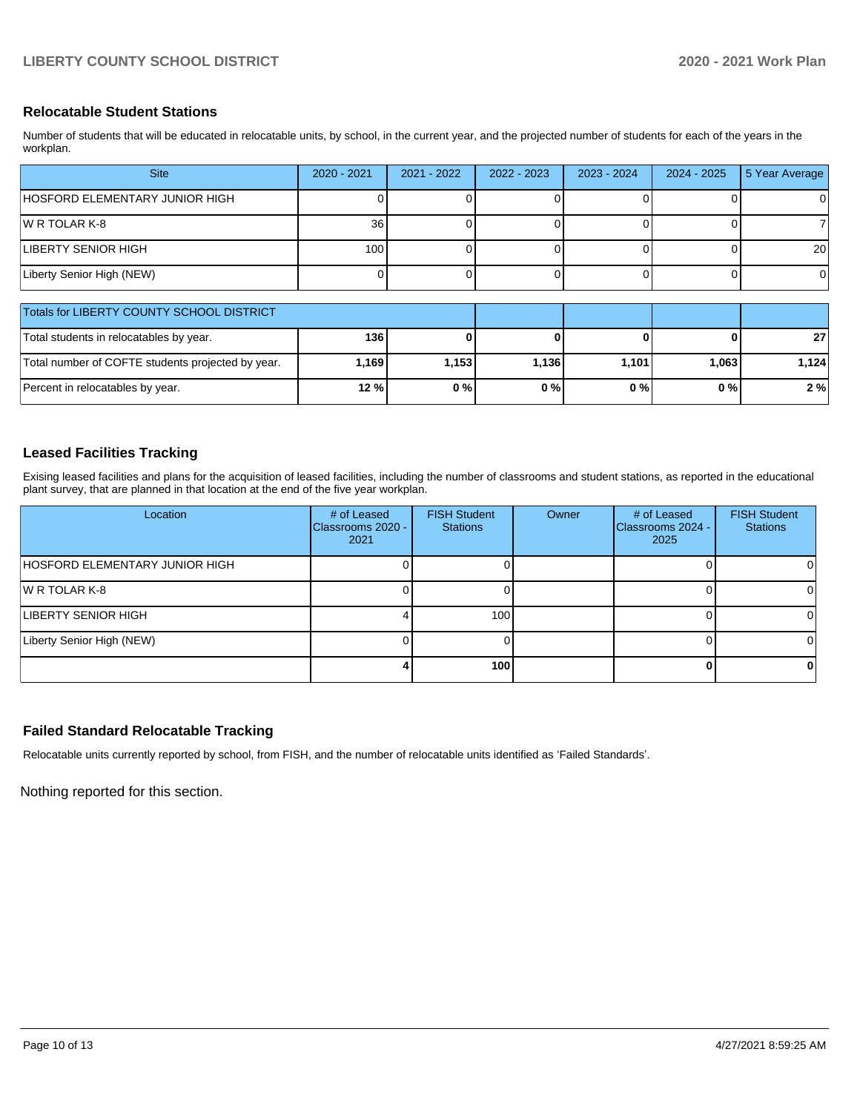## **Relocatable Student Stations**

Number of students that will be educated in relocatable units, by school, in the current year, and the projected number of students for each of the years in the workplan.

| <b>Site</b>                    | 2020 - 2021 | $2021 - 2022$ | $2022 - 2023$ | $2023 - 2024$ | 2024 - 2025 | 5 Year Average |
|--------------------------------|-------------|---------------|---------------|---------------|-------------|----------------|
| HOSFORD ELEMENTARY JUNIOR HIGH |             |               |               |               |             | 0              |
| IW R TOLAR K-8                 | 36          |               |               |               |             |                |
| LIBERTY SENIOR HIGH            | 100         |               |               |               |             | 20             |
| Liberty Senior High (NEW)      |             |               |               |               |             | ΟI             |

| Totals for LIBERTY COUNTY SCHOOL DISTRICT         |       |         |       |       |      |       |
|---------------------------------------------------|-------|---------|-------|-------|------|-------|
| Total students in relocatables by year.           | 136 l |         |       |       | 0    | 27    |
| Total number of COFTE students projected by year. | 1.169 | 1.153 l | 1.136 | 1.101 | .063 | 1.124 |
| Percent in relocatables by year.                  | 12 %  | 0%      | 0%    | 0%    | 0%   | 2%    |

## **Leased Facilities Tracking**

Exising leased facilities and plans for the acquisition of leased facilities, including the number of classrooms and student stations, as reported in the educational plant survey, that are planned in that location at the end of the five year workplan.

| Location                       | # of Leased<br><b>Classrooms 2020 -</b><br>2021 | <b>FISH Student</b><br><b>Stations</b> | Owner | # of Leased<br>Classrooms 2024 -<br>2025 | <b>FISH Student</b><br><b>Stations</b> |
|--------------------------------|-------------------------------------------------|----------------------------------------|-------|------------------------------------------|----------------------------------------|
| HOSFORD ELEMENTARY JUNIOR HIGH |                                                 |                                        |       |                                          |                                        |
| IW R TOLAR K-8                 |                                                 |                                        |       |                                          |                                        |
| LIBERTY SENIOR HIGH            |                                                 | 100                                    |       |                                          |                                        |
| Liberty Senior High (NEW)      |                                                 |                                        |       |                                          |                                        |
|                                |                                                 | 100                                    |       | o                                        |                                        |

## **Failed Standard Relocatable Tracking**

Relocatable units currently reported by school, from FISH, and the number of relocatable units identified as 'Failed Standards'.

Nothing reported for this section.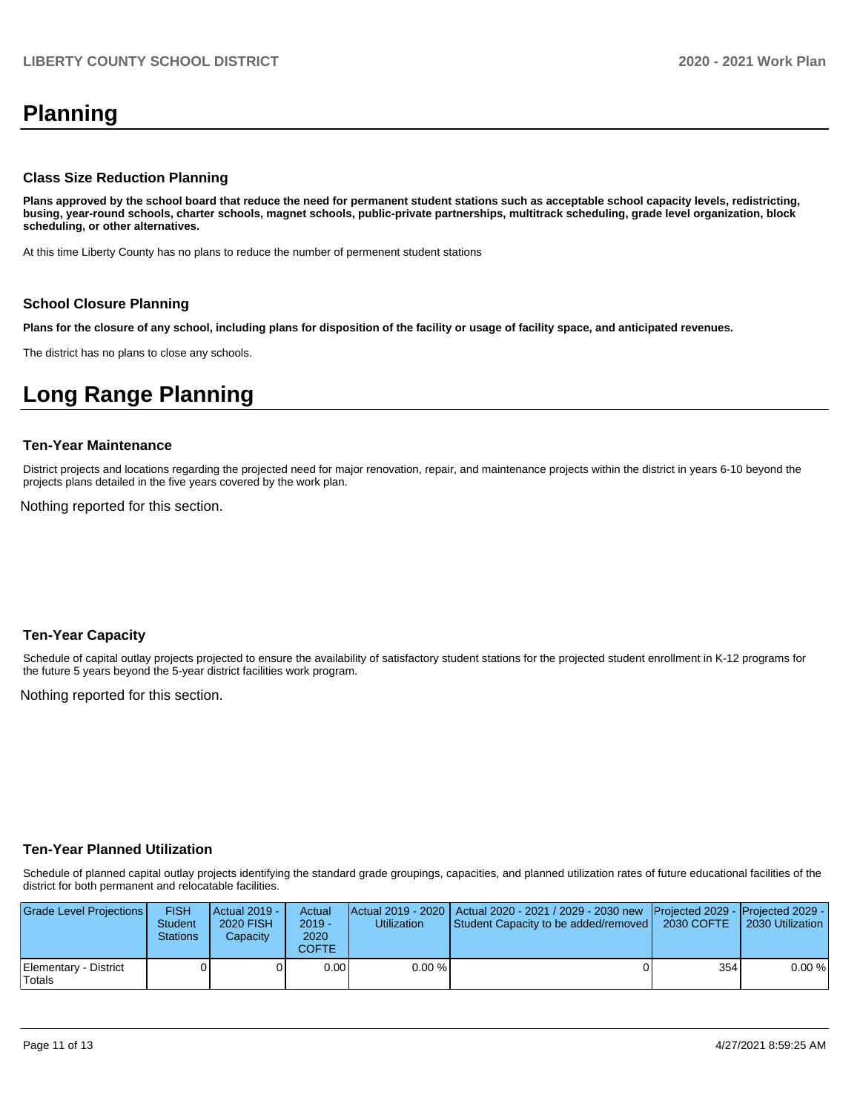# **Planning**

### **Class Size Reduction Planning**

**Plans approved by the school board that reduce the need for permanent student stations such as acceptable school capacity levels, redistricting, busing, year-round schools, charter schools, magnet schools, public-private partnerships, multitrack scheduling, grade level organization, block scheduling, or other alternatives.**

At this time Liberty County has no plans to reduce the number of permenent student stations

#### **School Closure Planning**

**Plans for the closure of any school, including plans for disposition of the facility or usage of facility space, and anticipated revenues.** 

The district has no plans to close any schools.

# **Long Range Planning**

#### **Ten-Year Maintenance**

District projects and locations regarding the projected need for major renovation, repair, and maintenance projects within the district in years 6-10 beyond the projects plans detailed in the five years covered by the work plan.

Nothing reported for this section.

### **Ten-Year Capacity**

Schedule of capital outlay projects projected to ensure the availability of satisfactory student stations for the projected student enrollment in K-12 programs for the future 5 years beyond the 5-year district facilities work program.

Nothing reported for this section.

### **Ten-Year Planned Utilization**

Schedule of planned capital outlay projects identifying the standard grade groupings, capacities, and planned utilization rates of future educational facilities of the district for both permanent and relocatable facilities.

| Grade Level Projections         | <b>FISH</b><br><b>Student</b><br><b>Stations</b> | <b>Actual 2019 -</b><br>2020 FISH<br>Capacity | Actual<br>$2019 -$<br>2020<br>COFTE: | Utilization | Actual 2019 - 2020   Actual 2020 - 2021 / 2029 - 2030 new   Projected 2029 -   Projected 2029 -<br>Student Capacity to be added/removed | 2030 COFTE | 2030 Utilization |
|---------------------------------|--------------------------------------------------|-----------------------------------------------|--------------------------------------|-------------|-----------------------------------------------------------------------------------------------------------------------------------------|------------|------------------|
| Elementary - District<br>Totals |                                                  |                                               | 0.00                                 | 0.00%       |                                                                                                                                         | 354        | 0.00%            |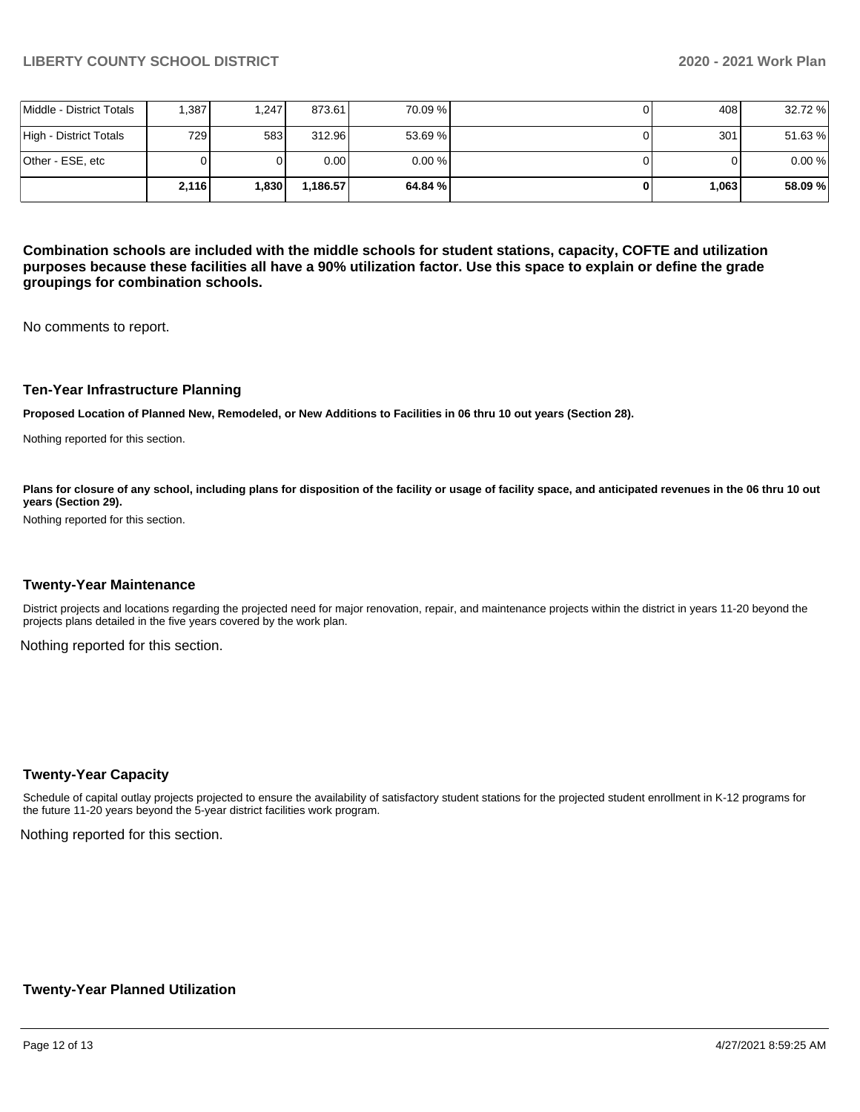|                          | 2,116 | 1.830 | 1.186.57          | 64.84 % I | 1.063 | 58.09%  |
|--------------------------|-------|-------|-------------------|-----------|-------|---------|
| lOther - ESE. etc        |       |       | 0.00 <sub>l</sub> | 0.00%     |       | 0.00%   |
| High - District Totals   | 729 I | 583   | 312.96            | 53.69 %   | 301   | 51.63%  |
| Middle - District Totals | .387  | 1.247 | 873.61            | 70.09 %   | 408 l | 32.72 % |

**Combination schools are included with the middle schools for student stations, capacity, COFTE and utilization purposes because these facilities all have a 90% utilization factor. Use this space to explain or define the grade groupings for combination schools.** 

No comments to report.

#### **Ten-Year Infrastructure Planning**

**Proposed Location of Planned New, Remodeled, or New Additions to Facilities in 06 thru 10 out years (Section 28).**

Nothing reported for this section.

Plans for closure of any school, including plans for disposition of the facility or usage of facility space, and anticipated revenues in the 06 thru 10 out **years (Section 29).**

Nothing reported for this section.

#### **Twenty-Year Maintenance**

District projects and locations regarding the projected need for major renovation, repair, and maintenance projects within the district in years 11-20 beyond the projects plans detailed in the five years covered by the work plan.

Nothing reported for this section.

#### **Twenty-Year Capacity**

Schedule of capital outlay projects projected to ensure the availability of satisfactory student stations for the projected student enrollment in K-12 programs for the future 11-20 years beyond the 5-year district facilities work program.

Nothing reported for this section.

### **Twenty-Year Planned Utilization**